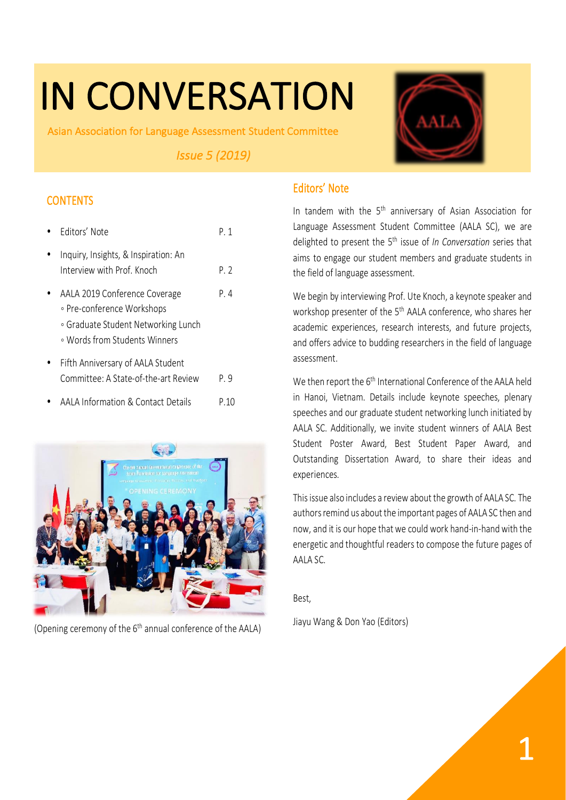# IN CONVERSATION

Asian Association for Language Assessment Student Committee

 *Issue 5 (2019)* 



# **CONTENTS**

| Fditors' Note                                                                                                                       | P 1  |
|-------------------------------------------------------------------------------------------------------------------------------------|------|
| Inquiry, Insights, & Inspiration: An<br>Interview with Prof. Knoch                                                                  | P. 2 |
| AALA 2019 Conference Coverage<br>∘ Pre-conference Workshops<br>• Graduate Student Networking Lunch<br>∘ Words from Students Winners | P. 4 |
| Fifth Anniversary of AALA Student<br>Committee: A State-of-the-art Review                                                           | P. 9 |
| AALA Information & Contact Details                                                                                                  | P 10 |



(Opening ceremony of the  $6<sup>th</sup>$  annual conference of the AALA)

# Editors' Note

In tandem with the  $5<sup>th</sup>$  anniversary of Asian Association for Language Assessment Student Committee (AALA SC), we are delighted to present the 5th issue of *In Conversation* series that aims to engage our student members and graduate students in the field of language assessment.

We begin by interviewing Prof. Ute Knoch, a keynote speaker and workshop presenter of the 5<sup>th</sup> AALA conference, who shares her academic experiences, research interests, and future projects, and offers advice to budding researchers in the field of language assessment.

We then report the 6<sup>th</sup> International Conference of the AALA held in Hanoi, Vietnam. Details include keynote speeches, plenary speeches and our graduate student networking lunch initiated by AALA SC. Additionally, we invite student winners of AALA Best Student Poster Award, Best Student Paper Award, and Outstanding Dissertation Award, to share their ideas and experiences.

This issue also includes a review about the growth of AALA SC. The authors remind us about the important pages of AALA SC then and now, and it is our hope that we could work hand-in-hand with the energetic and thoughtful readers to compose the future pages of AALA SC.

Best,

Jiayu Wang & Don Yao (Editors)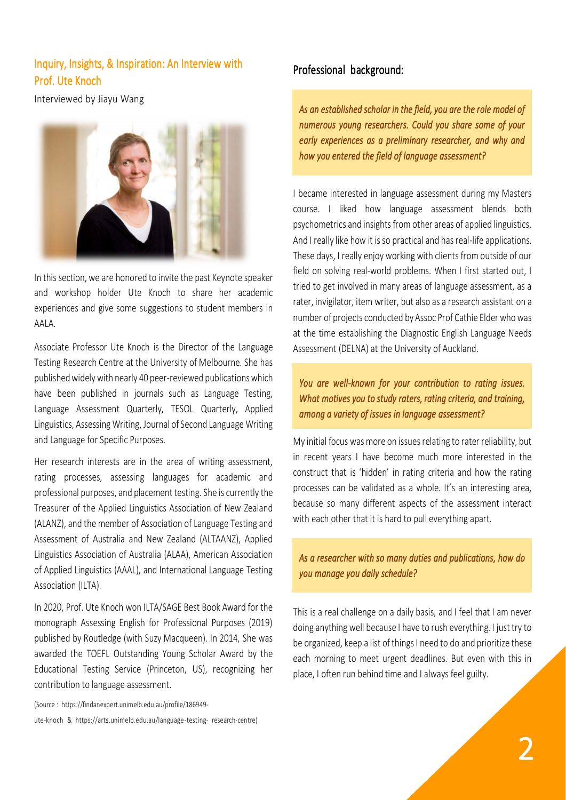# Inquiry, Insights, & Inspiration: An Interview with Prof. Ute Knoch

Interviewed by Jiayu Wang



In this section, we are honored to invite the past Keynote speaker and workshop holder Ute Knoch to share her academic experiences and give some suggestions to student members in AALA.

Associate Professor Ute Knoch is the Director of the Language Testing Research Centre at the University of Melbourne. She has published widely with nearly 40 peer-reviewed publications which have been published in journals such as Language Testing, Language Assessment Quarterly, TESOL Quarterly, Applied Linguistics, Assessing Writing, Journal of Second Language Writing and Language for Specific Purposes.

Her research interests are in the area of writing assessment, rating processes, assessing languages for academic and professional purposes, and placement testing. She is currently the Treasurer of the Applied Linguistics Association of New Zealand (ALANZ), and the member of Association of Language Testing and Assessment of Australia and New Zealand (ALTAANZ), Applied Linguistics Association of Australia (ALAA), American Association of Applied Linguistics (AAAL), and International Language Testing Association (ILTA).

In 2020, Prof. Ute Knoch won ILTA/SAGE Best Book Award for the monograph Assessing English for Professional Purposes (2019) published by Routledge (with Suzy Macqueen). In 2014, She was awarded the TOEFL Outstanding Young Scholar Award by the Educational Testing Service (Princeton, US), recognizing her contribution to language assessment.

(Source : https://findanexpert.unimelb.edu.au/profile/186949-

ute-knoch & https://arts.unimelb.edu.au/language-testing- research-centre)

#### Professional background:

*As an established scholar in the field, you are the role model of numerous young researchers. Could you share some of your early experiences as a preliminary researcher, and why and how you entered the field of language assessment?* 

I became interested in language assessment during my Masters course. I liked how language assessment blends both psychometrics and insights from other areas of applied linguistics. And I really like how it is so practical and has real-life applications. These days, I really enjoy working with clients from outside of our field on solving real-world problems. When I first started out, I tried to get involved in many areas of language assessment, as a rater, invigilator, item writer, but also as a research assistant on a number of projects conducted by Assoc Prof Cathie Elder who was at the time establishing the Diagnostic English Language Needs Assessment (DELNA) at the University of Auckland.

*You are well-known for your contribution to rating issues. What motives you to study raters, rating criteria, and training, among a variety of issues in language assessment?* 

My initial focus was more on issues relating to rater reliability, but in recent years I have become much more interested in the construct that is 'hidden' in rating criteria and how the rating processes can be validated as a whole. It's an interesting area, because so many different aspects of the assessment interact with each other that it is hard to pull everything apart.

*As a researcher with so many duties and publications, how do you manage you daily schedule?* 

This is a real challenge on a daily basis, and I feel that I am never doing anything well because I have to rush everything. I just try to be organized, keep a list of things I need to do and prioritize these each morning to meet urgent deadlines. But even with this in place, I often run behind time and I always feel guilty.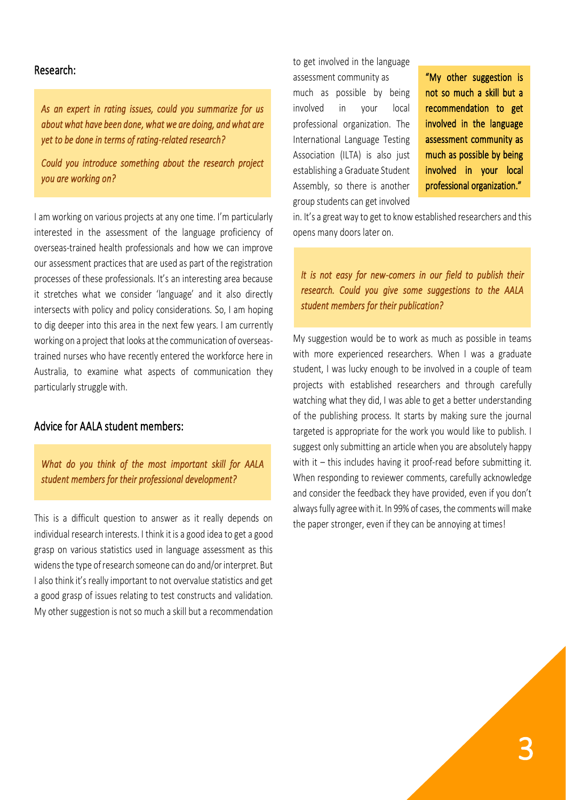#### Research:

*As an expert in rating issues, could you summarize for us about what have been done, what we are doing, and what are yet to be done in terms of rating-related research?* 

*Could you introduce something about the research project you are working on?* 

I am working on various projects at any one time. I'm particularly interested in the assessment of the language proficiency of overseas-trained health professionals and how we can improve our assessment practices that are used as part of the registration processes of these professionals. It's an interesting area because it stretches what we consider 'language' and it also directly intersects with policy and policy considerations. So, I am hoping to dig deeper into this area in the next few years. I am currently working on a project that looks at the communication of overseastrained nurses who have recently entered the workforce here in Australia, to examine what aspects of communication they particularly struggle with.

#### Advice for AALA student members:

*What do you think of the most important skill for AALA student members for their professional development?* 

This is a difficult question to answer as it really depends on individual research interests. I think it is a good idea to get a good grasp on various statistics used in language assessment as this widens the type of research someone can do and/or interpret. But I also think it's really important to not overvalue statistics and get a good grasp of issues relating to test constructs and validation. My other suggestion is not so much a skill but a recommendation to get involved in the language assessment community as much as possible by being involved in your local professional organization. The International Language Testing Association (ILTA) is also just establishing a Graduate Student Assembly, so there is another group students can get involved

"My other suggestion is not so much a skill but a recommendation to get involved in the language assessment community as much as possible by being involved in your local professional organization."

in. It's a great way to get to know established researchers and this opens many doors later on.

*It is not easy for new-comers in our field to publish their research. Could you give some suggestions to the AALA student members for their publication?* 

My suggestion would be to work as much as possible in teams with more experienced researchers. When I was a graduate student, I was lucky enough to be involved in a couple of team projects with established researchers and through carefully watching what they did, I was able to get a better understanding of the publishing process. It starts by making sure the journal targeted is appropriate for the work you would like to publish. I suggest only submitting an article when you are absolutely happy with it – this includes having it proof-read before submitting it. When responding to reviewer comments, carefully acknowledge and consider the feedback they have provided, even if you don't always fully agree with it. In 99% of cases, the comments will make the paper stronger, even if they can be annoying at times!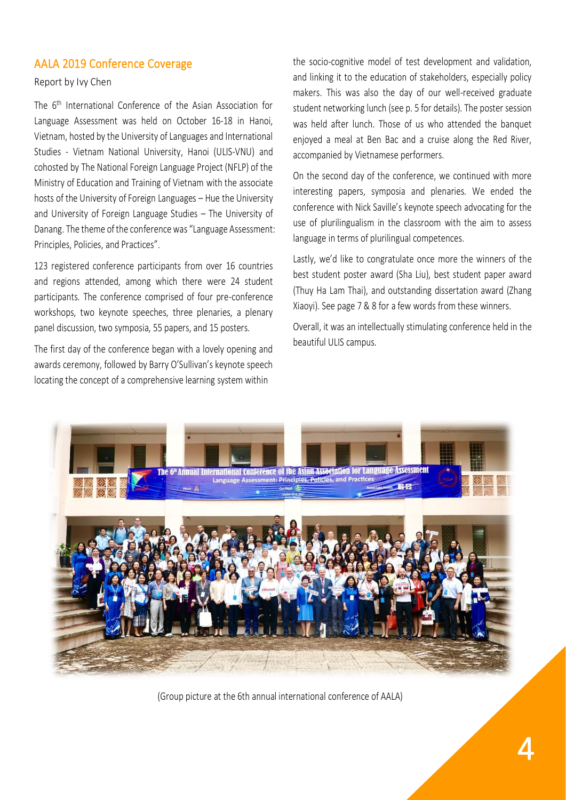## AALA 2019 Conference Coverage

#### Report by Ivy Chen

The 6<sup>th</sup> International Conference of the Asian Association for Language Assessment was held on October 16-18 in Hanoi, Vietnam, hosted by the University of Languages and International Studies - Vietnam National University, Hanoi (ULIS-VNU) and cohosted by The National Foreign Language Project (NFLP) of the Ministry of Education and Training of Vietnam with the associate hosts of the University of Foreign Languages – Hue the University and University of Foreign Language Studies – The University of Danang. The theme of the conference was "Language Assessment: Principles, Policies, and Practices".

123 registered conference participants from over 16 countries and regions attended, among which there were 24 student participants. The conference comprised of four pre-conference workshops, two keynote speeches, three plenaries, a plenary panel discussion, two symposia, 55 papers, and 15 posters.

The first day of the conference began with a lovely opening and awards ceremony, followed by Barry O'Sullivan's keynote speech locating the concept of a comprehensive learning system within

the socio-cognitive model of test development and validation, and linking it to the education of stakeholders, especially policy makers. This was also the day of our well-received graduate student networking lunch (see p. 5 for details). The poster session was held after lunch. Those of us who attended the banquet enjoyed a meal at Ben Bac and a cruise along the Red River, accompanied by Vietnamese performers.

On the second day of the conference, we continued with more interesting papers, symposia and plenaries. We ended the conference with Nick Saville's keynote speech advocating for the use of plurilingualism in the classroom with the aim to assess language in terms of plurilingual competences.

Lastly, we'd like to congratulate once more the winners of the best student poster award (Sha Liu), best student paper award (Thuy Ha Lam Thai), and outstanding dissertation award (Zhang Xiaoyi). See page 7 & 8 for a few words from these winners.

Overall, it was an intellectually stimulating conference held in the beautiful ULIS campus.



(Group picture at the 6th annual international conference of AALA)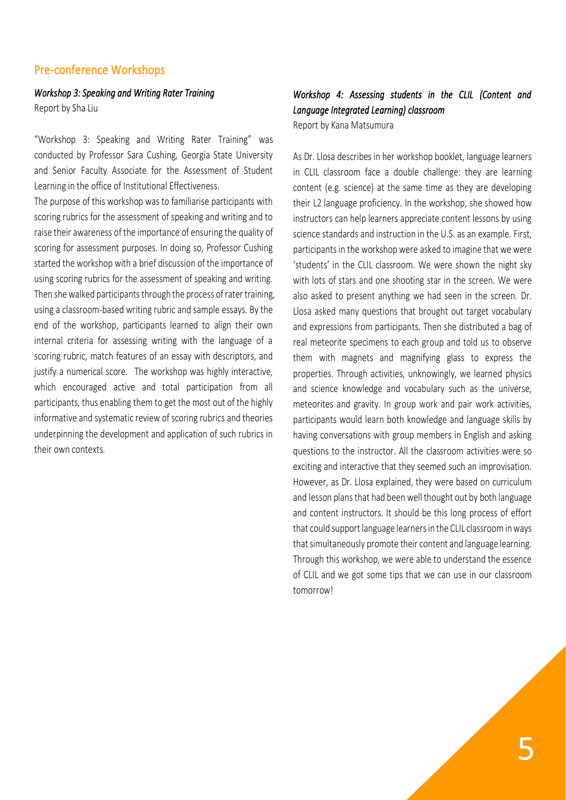## Pre-conference Workshops

*Workshop 3: Speaking and Writing Rater Training*  Report by Sha Liu

"Workshop 3: Speaking and Writing Rater Training" was conducted by Professor Sara Cushing, Georgia State University and Senior Faculty Associate for the Assessment of Student Learning in the office of Institutional Effectiveness.

The purpose of this workshop was to familiarise participants with scoring rubrics for the assessment of speaking and writing and to raise their awareness of the importance of ensuring the quality of scoring for assessment purposes. In doing so, Professor Cushing started the workshop with a brief discussion of the importance of using scoring rubrics for the assessment of speaking and writing. Then she walked participants through the process of rater training, using a classroom-based writing rubric and sample essays. By the end of the workshop, participants learned to align their own internal criteria for assessing writing with the language of a scoring rubric, match features of an essay with descriptors, and justify a numerical score. The workshop was highly interactive, which encouraged active and total participation from all participants, thus enabling them to get the most out of the highly informative and systematic review of scoring rubrics and theories underpinning the development and application of such rubrics in their own contexts.

#### *Workshop 4: Assessing students in the CLIL (Content and Language Integrated Learning) classroom*

Report by Kana Matsumura

As Dr. Llosa describes in her workshop booklet, language learners in CLIL classroom face a double challenge: they are learning content (e.g. science) at the same time as they are developing their L2 language proficiency. In the workshop, she showed how instructors can help learners appreciate content lessons by using science standards and instruction in the U.S. as an example. First, participants in the workshop were asked to imagine that we were 'students' in the CLIL classroom. We were shown the night sky with lots of stars and one shooting star in the screen. We were also asked to present anything we had seen in the screen. Dr. Llosa asked many questions that brought out target vocabulary and expressions from participants. Then she distributed a bag of real meteorite specimens to each group and told us to observe them with magnets and magnifying glass to express the properties. Through activities, unknowingly, we learned physics and science knowledge and vocabulary such as the universe, meteorites and gravity. In group work and pair work activities, participants would learn both knowledge and language skills by having conversations with group members in English and asking questions to the instructor. All the classroom activities were so exciting and interactive that they seemed such an improvisation. However, as Dr. Llosa explained, they were based on curriculum and lesson plans that had been well thought out by both language and content instructors. It should be this long process of effort that could support language learners in the CLIL classroom in ways that simultaneously promote their content and language learning. Through this workshop, we were able to understand the essence of CLIL and we got some tips that we can use in our classroom tomorrow!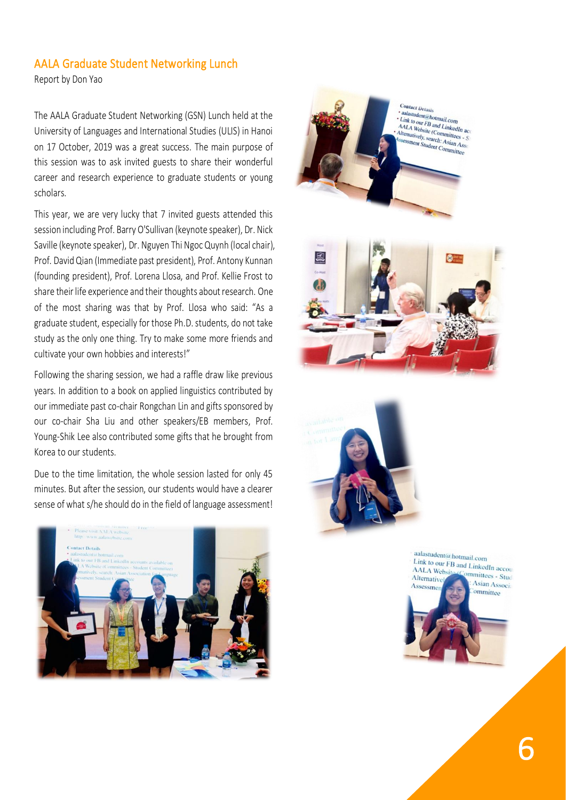#### AALA Graduate Student Networking Lunch

Report by Don Yao

The AALA Graduate Student Networking (GSN) Lunch held at the University of Languages and International Studies (ULIS) in Hanoi on 17 October, 2019 was a great success. The main purpose of this session was to ask invited guests to share their wonderful career and research experience to graduate students or young scholars.

This year, we are very lucky that 7 invited guests attended this session including Prof. Barry O'Sullivan (keynote speaker), Dr. Nick Saville (keynote speaker), Dr. Nguyen Thi Ngoc Quynh (local chair), Prof. David Qian (Immediate past president), Prof. Antony Kunnan (founding president), Prof. Lorena Llosa, and Prof. Kellie Frost to share their life experience and their thoughts about research. One of the most sharing was that by Prof. Llosa who said: "As a graduate student, especially for those Ph.D. students, do not take study as the only one thing. Try to make some more friends and cultivate your own hobbies and interests!"

Following the sharing session, we had a raffle draw like previous years. In addition to a book on applied linguistics contributed by our immediate past co-chair Rongchan Lin and gifts sponsored by our co-chair Sha Liu and other speakers/EB members, Prof. Young-Shik Lee also contributed some gifts that he brought from Korea to our students.

Due to the time limitation, the whole session lasted for only 45 minutes. But after the session, our students would have a clearer sense of what s/he should do in the field of language assessment!









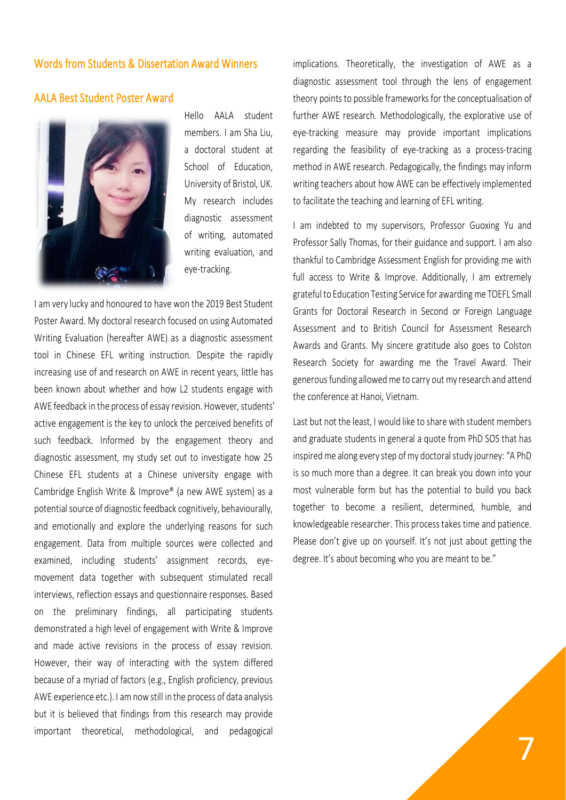#### Words from Students & Dissertation Award Winners

### AALA Best Student Poster Award



Hello AALA student members. I am Sha Liu, a doctoral student at School of Education, University of Bristol, UK. My research includes diagnostic assessment of writing, automated writing evaluation, and eye-tracking.

I am very lucky and honoured to have won the 2019 Best Student Poster Award. My doctoral research focused on using Automated Writing Evaluation (hereafter AWE) as a diagnostic assessment tool in Chinese EFL writing instruction. Despite the rapidly increasing use of and research on AWE in recent years, little has been known about whether and how L2 students engage with AWE feedback in the process of essay revision. However, students' active engagement is the key to unlock the perceived benefits of such feedback. Informed by the engagement theory and diagnostic assessment, my study set out to investigate how 25 Chinese EFL students at a Chinese university engage with Cambridge English Write & Improve® (a new AWE system) as a potential source of diagnostic feedback cognitively, behaviourally, and emotionally and explore the underlying reasons for such engagement. Data from multiple sources were collected and examined, including students' assignment records, eyemovement data together with subsequent stimulated recall interviews, reflection essays and questionnaire responses. Based on the preliminary findings, all participating students demonstrated a high level of engagement with Write & Improve and made active revisions in the process of essay revision. However, their way of interacting with the system differed because of a myriad of factors (e.g., English proficiency, previous AWE experience etc.). I am now still in the process of data analysis but it is believed that findings from this research may provide important theoretical, methodological, and pedagogical

implications. Theoretically, the investigation of AWE as a diagnostic assessment tool through the lens of engagement theory points to possible frameworks for the conceptualisation of further AWE research. Methodologically, the explorative use of eye-tracking measure may provide important implications regarding the feasibility of eye-tracking as a process-tracing method in AWE research. Pedagogically, the findings may inform writing teachers about how AWE can be effectively implemented to facilitate the teaching and learning of EFL writing.

I am indebted to my supervisors, Professor Guoxing Yu and Professor Sally Thomas, for their guidance and support. I am also thankful to Cambridge Assessment English for providing me with full access to Write & Improve. Additionally, I am extremely grateful to Education Testing Service for awarding me TOEFL Small Grants for Doctoral Research in Second or Foreign Language Assessment and to British Council for Assessment Research Awards and Grants. My sincere gratitude also goes to Colston Research Society for awarding me the Travel Award. Their generous funding allowed me to carry out my research and attend the conference at Hanoi, Vietnam.

Last but not the least, I would like to share with student members and graduate students in general a quote from PhD SOS that has inspired me along every step of my doctoral study journey: "A PhD is so much more than a degree. It can break you down into your most vulnerable form but has the potential to build you back together to become a resilient, determined, humble, and knowledgeable researcher. This process takes time and patience. Please don't give up on yourself. It's not just about getting the degree. It's about becoming who you are meant to be."

7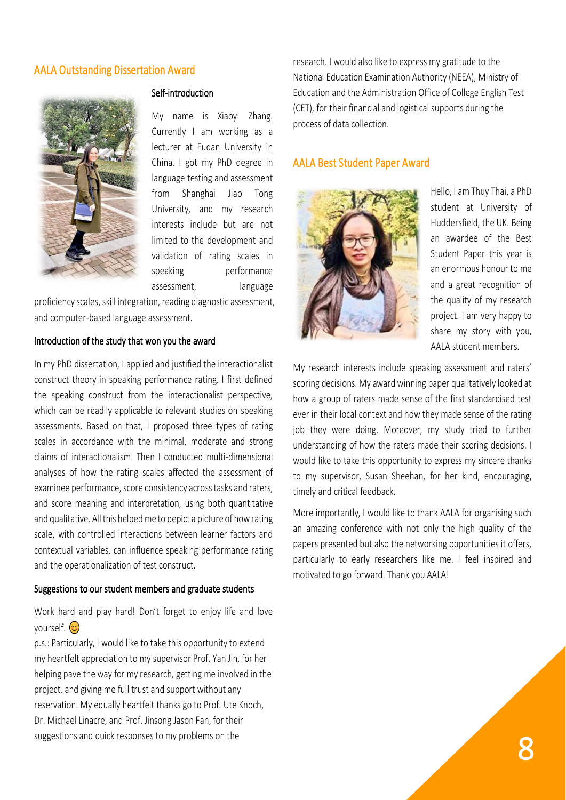#### AALA Outstanding Dissertation Award



#### Self-introduction

My name is Xiaoyi Zhang. Currently I am working as a lecturer at Fudan University in China. I got my PhD degree in language testing and assessment from Shanghai Jiao Tong University, and my research interests include but are not limited to the development and validation of rating scales in speaking performance assessment, language

proficiency scales, skill integration, reading diagnostic assessment, and computer-based language assessment.

#### Introduction of the study that won you the award

In my PhD dissertation, I applied and justified the interactionalist construct theory in speaking performance rating. I first defined the speaking construct from the interactionalist perspective, which can be readily applicable to relevant studies on speaking assessments. Based on that, I proposed three types of rating scales in accordance with the minimal, moderate and strong claims of interactionalism. Then I conducted multi-dimensional analyses of how the rating scales affected the assessment of examinee performance, score consistency across tasks and raters, and score meaning and interpretation, using both quantitative and qualitative. All this helped me to depict a picture of how rating scale, with controlled interactions between learner factors and contextual variables, can influence speaking performance rating and the operationalization of test construct.

#### Suggestions to our student members and graduate students

Work hard and play hard! Don't forget to enjoy life and love vourself. **O** 

p.s.: Particularly, I would like to take this opportunity to extend my heartfelt appreciation to my supervisor Prof. Yan Jin, for her helping pave the way for my research, getting me involved in the project, and giving me full trust and support without any reservation. My equally heartfelt thanks go to Prof. Ute Knoch, Dr. Michael Linacre, and Prof. Jinsong Jason Fan, for their suggestions and quick responses to my problems on the

research. I would also like to express my gratitude to the National Education Examination Authority (NEEA), Ministry of Education and the Administration Office of College English Test (CET), for their financial and logistical supports during the process of data collection.

#### AALA Best Student Paper Award



Hello, I am Thuy Thai, a PhD student at University of Huddersfield, the UK. Being an awardee of the Best Student Paper this year is an enormous honour to me and a great recognition of the quality of my research project. I am very happy to share my story with you, AALA student members.

My research interests include speaking assessment and raters' scoring decisions. My award winning paper qualitatively looked at how a group of raters made sense of the first standardised test ever in their local context and how they made sense of the rating job they were doing. Moreover, my study tried to further understanding of how the raters made their scoring decisions. I would like to take this opportunity to express my sincere thanks to my supervisor, Susan Sheehan, for her kind, encouraging, timely and critical feedback.

More importantly, I would like to thank AALA for organising such an amazing conference with not only the high quality of the papers presented but also the networking opportunities it offers, particularly to early researchers like me. I feel inspired and motivated to go forward. Thank you AALA!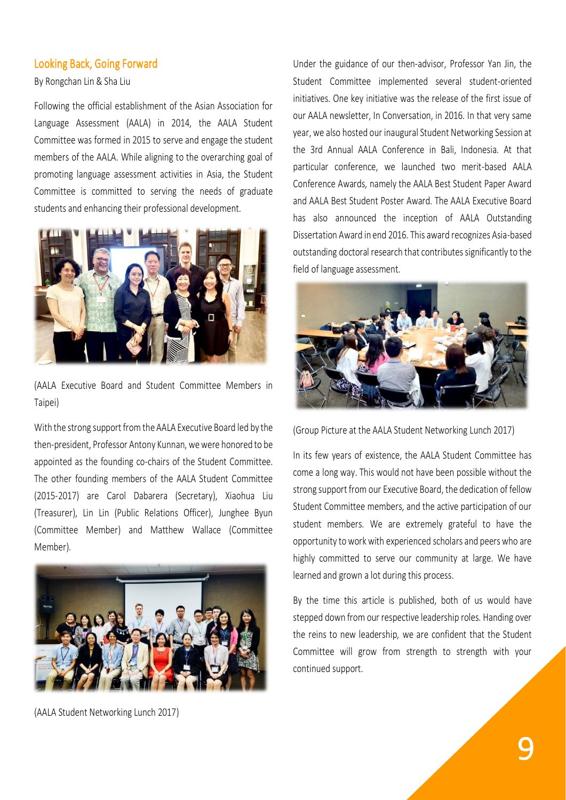#### Looking Back, Going Forward

By Rongchan Lin & Sha Liu

Following the official establishment of the Asian Association for Language Assessment (AALA) in 2014, the AALA Student Committee was formed in 2015 to serve and engage the student members of the AALA. While aligning to the overarching goal of promoting language assessment activities in Asia, the Student Committee is committed to serving the needs of graduate students and enhancing their professional development.



(AALA Executive Board and Student Committee Members in Taipei)

With the strong support from the AALA Executive Board led by the then-president, Professor Antony Kunnan, we were honored to be appointed as the founding co-chairs of the Student Committee. The other founding members of the AALA Student Committee (2015-2017) are Carol Dabarera (Secretary), Xiaohua Liu (Treasurer), Lin Lin (Public Relations Officer), Junghee Byun (Committee Member) and Matthew Wallace (Committee Member).



(AALA Student Networking Lunch 2017)

Under the guidance of our then-advisor, Professor Yan Jin, the Student Committee implemented several student-oriented initiatives. One key initiative was the release of the first issue of our AALA newsletter, In Conversation, in 2016. In that very same year, we also hosted our inaugural Student Networking Session at the 3rd Annual AALA Conference in Bali, Indonesia. At that particular conference, we launched two merit-based AALA Conference Awards, namely the AALA Best Student Paper Award and AALA Best Student Poster Award. The AALA Executive Board has also announced the inception of AALA Outstanding Dissertation Award in end 2016. This award recognizes Asia-based outstanding doctoral research that contributes significantly to the field of language assessment.



(Group Picture at the AALA Student Networking Lunch 2017)

In its few years of existence, the AALA Student Committee has come a long way. This would not have been possible without the strong support from our Executive Board, the dedication of fellow Student Committee members, and the active participation of our student members. We are extremely grateful to have the opportunity to work with experienced scholars and peers who are highly committed to serve our community at large. We have learned and grown a lot during this process.

By the time this article is published, both of us would have stepped down from our respective leadership roles. Handing over the reins to new leadership, we are confident that the Student Committee will grow from strength to strength with your continued support.